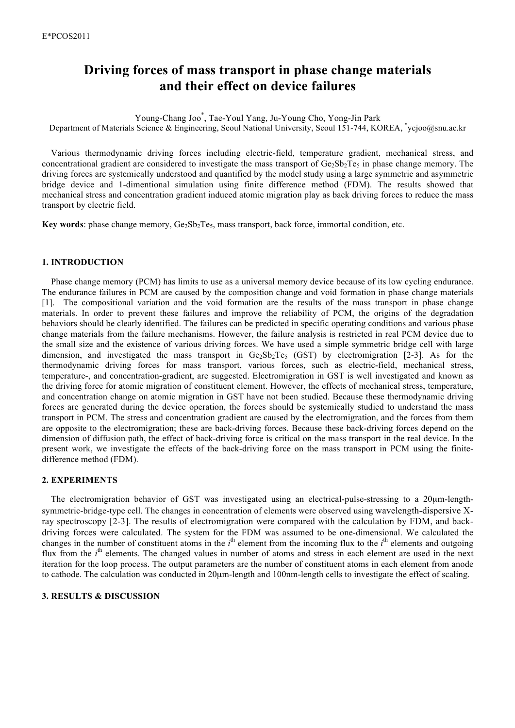# **Driving forces of mass transport in phase change materials and their effect on device failures**

Young-Chang Joo\* , Tae-Youl Yang, Ju-Young Cho, Yong-Jin Park Department of Materials Science & Engineering, Seoul National University, Seoul 151-744, KOREA, \*ycjoo@snu.ac.kr

Various thermodynamic driving forces including electric-field, temperature gradient, mechanical stress, and concentrational gradient are considered to investigate the mass transport of  $Ge_2Sb_2Te_5$  in phase change memory. The driving forces are systemically understood and quantified by the model study using a large symmetric and asymmetric bridge device and 1-dimentional simulation using finite difference method (FDM). The results showed that mechanical stress and concentration gradient induced atomic migration play as back driving forces to reduce the mass transport by electric field.

**Key words**: phase change memory,  $Ge_2Sb_2Te_5$ , mass transport, back force, immortal condition, etc.

## **1. INTRODUCTION**

Phase change memory (PCM) has limits to use as a universal memory device because of its low cycling endurance. The endurance failures in PCM are caused by the composition change and void formation in phase change materials [1]. The compositional variation and the void formation are the results of the mass transport in phase change materials. In order to prevent these failures and improve the reliability of PCM, the origins of the degradation behaviors should be clearly identified. The failures can be predicted in specific operating conditions and various phase change materials from the failure mechanisms. However, the failure analysis is restricted in real PCM device due to the small size and the existence of various driving forces. We have used a simple symmetric bridge cell with large dimension, and investigated the mass transport in  $Ge_2Sb_2Te_5$  (GST) by electromigration [2-3]. As for the thermodynamic driving forces for mass transport, various forces, such as electric-field, mechanical stress, temperature-, and concentration-gradient, are suggested. Electromigration in GST is well investigated and known as the driving force for atomic migration of constituent element. However, the effects of mechanical stress, temperature, and concentration change on atomic migration in GST have not been studied. Because these thermodynamic driving forces are generated during the device operation, the forces should be systemically studied to understand the mass transport in PCM. The stress and concentration gradient are caused by the electromigration, and the forces from them are opposite to the electromigration; these are back-driving forces. Because these back-driving forces depend on the dimension of diffusion path, the effect of back-driving force is critical on the mass transport in the real device. In the present work, we investigate the effects of the back-driving force on the mass transport in PCM using the finitedifference method (FDM).

## **2. EXPERIMENTS**

The electromigration behavior of GST was investigated using an electrical-pulse-stressing to a 20µm-lengthsymmetric-bridge-type cell. The changes in concentration of elements were observed using wavelength-dispersive Xray spectroscopy [2-3]. The results of electromigration were compared with the calculation by FDM, and backdriving forces were calculated. The system for the FDM was assumed to be one-dimensional. We calculated the changes in the number of constituent atoms in the  $i^{\text{th}}$  element from the incoming flux to the  $i^{\text{th}}$  elements and outgoing flux from the *i*<sup>th</sup> elements. The changed values in number of atoms and stress in each element are used in the next iteration for the loop process. The output parameters are the number of constituent atoms in each element from anode to cathode. The calculation was conducted in 20µm-length and 100nm-length cells to investigate the effect of scaling.

#### **3. RESULTS & DISCUSSION**